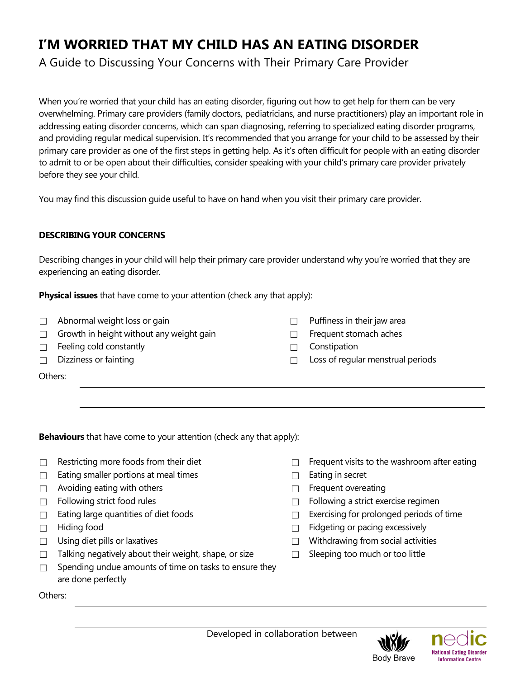# **I'M WORRIED THAT MY CHILD HAS AN EATING DISORDER**

A Guide to Discussing Your Concerns with Their Primary Care Provider

When you're worried that your child has an eating disorder, figuring out how to get help for them can be very overwhelming. Primary care providers (family doctors, pediatricians, and nurse practitioners) play an important role in addressing eating disorder concerns, which can span diagnosing, referring to specialized eating disorder programs, and providing regular medical supervision. It's recommended that you arrange for your child to be assessed by their primary care provider as one of the first steps in getting help. As it's often difficult for people with an eating disorder to admit to or be open about their difficulties, consider speaking with your child's primary care provider privately before they see your child.

You may find this discussion guide useful to have on hand when you visit their primary care provider.

## **DESCRIBING YOUR CONCERNS**

Describing changes in your child will help their primary care provider understand why you're worried that they are experiencing an eating disorder.

**Physical issues** that have come to your attention (check any that apply):

- ☐ Abnormal weight loss or gain ☐ Puffiness in their jaw area
- □ Growth in height without any weight gain □ □ Frequent stomach aches
- ☐ Feeling cold constantly ☐ Constipation
- 
- 
- 
- ☐ Dizziness or fainting ☐ Loss of regular menstrual periods

Others:

**Behaviours** that have come to your attention (check any that apply):

- 
- ☐ Eating smaller portions at meal times ☐ Eating in secret
- ☐ Avoiding eating with others ☐ Frequent overeating
- 
- 
- 
- 
- ☐ Talking negatively about their weight, shape, or size ☐ Sleeping too much or too little
- $\Box$  Spending undue amounts of time on tasks to ensure they are done perfectly
- ☐ Restricting more foods from their diet ☐ Frequent visits to the washroom after eating
	-
	-
- ☐ Following strict food rules ☐ Following a strict exercise regimen
- ☐ Eating large quantities of diet foods ☐ Exercising for prolonged periods of time
- ☐ Hiding food ☐ Fidgeting or pacing excessively
- ☐ Using diet pills or laxatives ☐ Withdrawing from social activities
	-

Others: